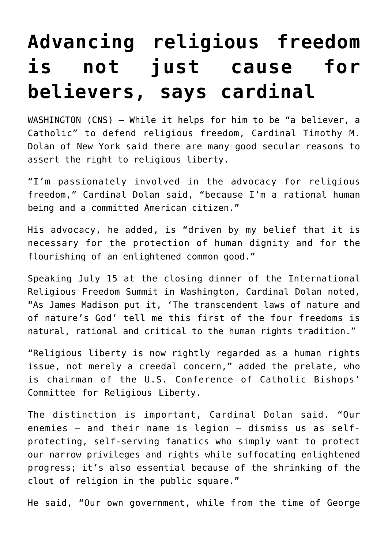## **[Advancing religious freedom](https://www.osvnews.com/2021/07/19/advancing-religious-freedom-is-not-just-cause-for-believers-says-cardinal/) [is not just cause for](https://www.osvnews.com/2021/07/19/advancing-religious-freedom-is-not-just-cause-for-believers-says-cardinal/) [believers, says cardinal](https://www.osvnews.com/2021/07/19/advancing-religious-freedom-is-not-just-cause-for-believers-says-cardinal/)**

WASHINGTON (CNS) — While it helps for him to be "a believer, a Catholic" to defend religious freedom, Cardinal Timothy M. Dolan of New York said there are many good secular reasons to assert the right to religious liberty.

"I'm passionately involved in the advocacy for religious freedom," Cardinal Dolan said, "because I'm a rational human being and a committed American citizen."

His advocacy, he added, is "driven by my belief that it is necessary for the protection of human dignity and for the flourishing of an enlightened common good."

Speaking July 15 at the closing dinner of the International Religious Freedom Summit in Washington, Cardinal Dolan noted, "As James Madison put it, 'The transcendent laws of nature and of nature's God' tell me this first of the four freedoms is natural, rational and critical to the human rights tradition."

"Religious liberty is now rightly regarded as a human rights issue, not merely a creedal concern," added the prelate, who is chairman of the U.S. Conference of Catholic Bishops' Committee for Religious Liberty.

The distinction is important, Cardinal Dolan said. "Our enemies — and their name is legion — dismiss us as selfprotecting, self-serving fanatics who simply want to protect our narrow privileges and rights while suffocating enlightened progress; it's also essential because of the shrinking of the clout of religion in the public square."

He said, "Our own government, while from the time of George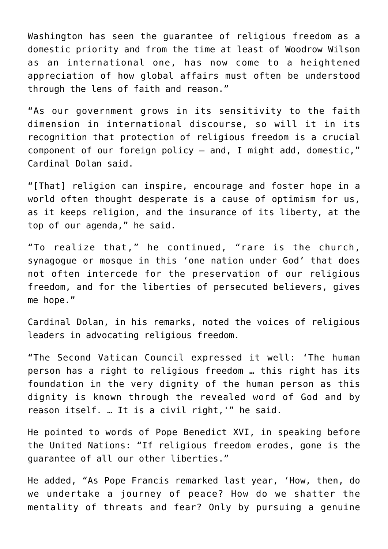Washington has seen the guarantee of religious freedom as a domestic priority and from the time at least of Woodrow Wilson as an international one, has now come to a heightened appreciation of how global affairs must often be understood through the lens of faith and reason."

"As our government grows in its sensitivity to the faith dimension in international discourse, so will it in its recognition that protection of religious freedom is a crucial component of our foreign policy — and, I might add, domestic," Cardinal Dolan said.

"[That] religion can inspire, encourage and foster hope in a world often thought desperate is a cause of optimism for us, as it keeps religion, and the insurance of its liberty, at the top of our agenda," he said.

"To realize that," he continued, "rare is the church, synagogue or mosque in this 'one nation under God' that does not often intercede for the preservation of our religious freedom, and for the liberties of persecuted believers, gives me hope."

Cardinal Dolan, in his remarks, noted the voices of religious leaders in advocating religious freedom.

"The Second Vatican Council expressed it well: 'The human person has a right to religious freedom … this right has its foundation in the very dignity of the human person as this dignity is known through the revealed word of God and by reason itself. … It is a civil right,'" he said.

He pointed to words of Pope Benedict XVI, in speaking before the United Nations: "If religious freedom erodes, gone is the guarantee of all our other liberties."

He added, "As Pope Francis remarked last year, 'How, then, do we undertake a journey of peace? How do we shatter the mentality of threats and fear? Only by pursuing a genuine